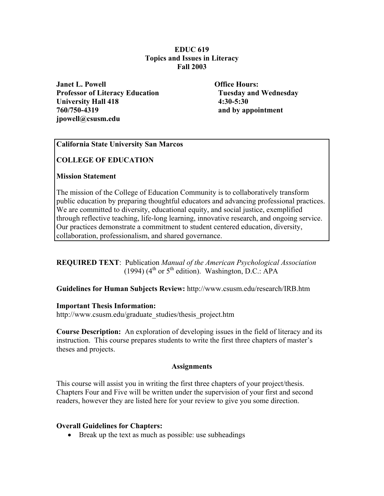## **EDUC 619 Topics and Issues in Literacy Fall 2003**

*Janet L. Powell* **Communist Communist Communist Communist Communist Communist Communist Communist Communist Communist Communist Communist Communist Communist Communist Communist Communist Communist Communist Communist C Professor of Literacy Education Tuesday and Wednesday University Hall 418 4:30-5:30 760/750-4319 and by appointment jpowell@csusm.edu** 

## **California State University San Marcos**

## **COLLEGE OF EDUCATION**

## **Mission Statement**

The mission of the College of Education Community is to collaboratively transform public education by preparing thoughtful educators and advancing professional practices. We are committed to diversity, educational equity, and social justice, exemplified through reflective teaching, life-long learning, innovative research, and ongoing service. Our practices demonstrate a commitment to student centered education, diversity, collaboration, professionalism, and shared governance.

## **REQUIRED TEXT**: Publication *Manual of the American Psychological Association* (1994) ( $4<sup>th</sup>$  or  $5<sup>th</sup>$  edition). Washington, D.C.: APA

## **Guidelines for Human Subjects Review:** http://www.csusm.edu/research/IRB.htm

## **Important Thesis Information:**

http://www.csusm.edu/graduate\_studies/thesis\_project.htm

**Course Description:** An exploration of developing issues in the field of literacy and its instruction. This course prepares students to write the first three chapters of master's theses and projects.

## **Assignments**

This course will assist you in writing the first three chapters of your project/thesis. Chapters Four and Five will be written under the supervision of your first and second readers, however they are listed here for your review to give you some direction.

## **Overall Guidelines for Chapters:**

• Break up the text as much as possible: use subheadings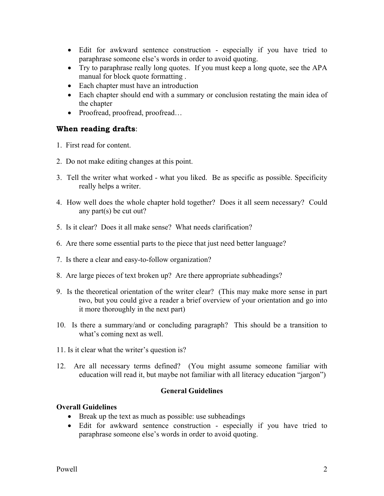- Edit for awkward sentence construction especially if you have tried to paraphrase someone else's words in order to avoid quoting.
- Try to paraphrase really long quotes. If you must keep a long quote, see the APA manual for block quote formatting .
- Each chapter must have an introduction
- Each chapter should end with a summary or conclusion restating the main idea of the chapter
- Proofread, proofread, proofread...

## **When reading drafts**:

- 1. First read for content.
- 2. Do not make editing changes at this point.
- 3. Tell the writer what worked what you liked. Be as specific as possible. Specificity really helps a writer.
- 4. How well does the whole chapter hold together? Does it all seem necessary? Could any part(s) be cut out?
- 5. Is it clear? Does it all make sense? What needs clarification?
- 6. Are there some essential parts to the piece that just need better language?
- 7. Is there a clear and easy-to-follow organization?
- 8. Are large pieces of text broken up? Are there appropriate subheadings?
- 9. Is the theoretical orientation of the writer clear? (This may make more sense in part two, but you could give a reader a brief overview of your orientation and go into it more thoroughly in the next part)
- 10. Is there a summary/and or concluding paragraph? This should be a transition to what's coming next as well.
- 11. Is it clear what the writer's question is?
- 12. Are all necessary terms defined? (You might assume someone familiar with education will read it, but maybe not familiar with all literacy education "jargon")

## **General Guidelines**

## **Overall Guidelines**

- Break up the text as much as possible: use subheadings
- Edit for awkward sentence construction especially if you have tried to paraphrase someone else's words in order to avoid quoting.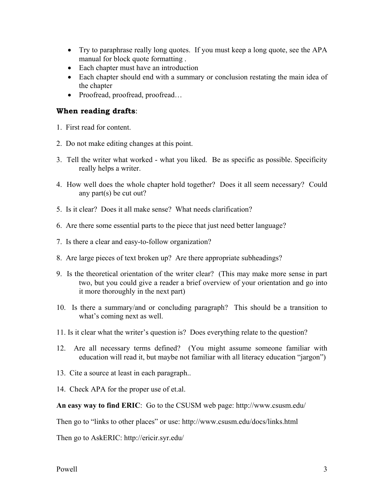- Try to paraphrase really long quotes. If you must keep a long quote, see the APA manual for block quote formatting .
- Each chapter must have an introduction
- Each chapter should end with a summary or conclusion restating the main idea of the chapter
- Proofread, proofread, proofread...

# **When reading drafts**:

- 1. First read for content.
- 2. Do not make editing changes at this point.
- 3. Tell the writer what worked what you liked. Be as specific as possible. Specificity really helps a writer.
- 4. How well does the whole chapter hold together? Does it all seem necessary? Could any part(s) be cut out?
- 5. Is it clear? Does it all make sense? What needs clarification?
- 6. Are there some essential parts to the piece that just need better language?
- 7. Is there a clear and easy-to-follow organization?
- 8. Are large pieces of text broken up? Are there appropriate subheadings?
- 9. Is the theoretical orientation of the writer clear? (This may make more sense in part two, but you could give a reader a brief overview of your orientation and go into it more thoroughly in the next part)
- 10. Is there a summary/and or concluding paragraph? This should be a transition to what's coming next as well.
- 11. Is it clear what the writer's question is? Does everything relate to the question?
- 12. Are all necessary terms defined? (You might assume someone familiar with education will read it, but maybe not familiar with all literacy education "jargon")
- 13. Cite a source at least in each paragraph..
- 14. Check APA for the proper use of et.al.

**An easy way to find ERIC**: Go to the CSUSM web page: http://www.csusm.edu/

Then go to "links to other places" or use: http://www.csusm.edu/docs/links.html

Then go to AskERIC: http://ericir.syr.edu/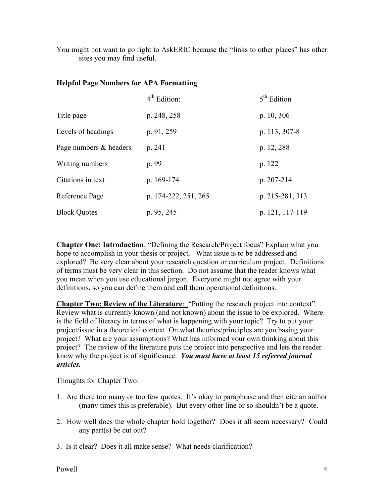You might not want to go right to AskERIC because the "links to other places" has other sites you may find useful.

## **Helpful Page Numbers for APA Formatting**

|                        | $4th$ Edition:       | $5th$ Edition   |
|------------------------|----------------------|-----------------|
| Title page             | p. 248, 258          | p. 10, 306      |
| Levels of headings     | p. 91, 259           | p. 113, 307-8   |
| Page numbers & headers | p. 241               | p. 12, 288      |
| Writing numbers        | p. 99                | p. 122          |
| Citations in text      | p. 169-174           | p. 207-214      |
| Reference Page         | p. 174-222, 251, 265 | p. 215-281, 313 |
| <b>Block Quotes</b>    | p. 95, 245           | p. 121, 117-119 |

**Chapter One: Introduction**: "Defining the Research/Project focus" Explain what you hope to accomplish in your thesis or project. What issue is to be addressed and explored? Be very clear about your research question or curriculum project. Definitions of terms must be very clear in this section. Do not assume that the reader knows what you mean when you use educational jargon. Everyone might not agree with your definitions, so you can define them and call them operational definitions.

**Chapter Two: Review of the Literature:** "Putting the research project into context". Review what is currently known (and not known) about the issue to be explored. Where is the field of literacy in terms of what is happening with your topic? Try to put your project/issue in a theoretical context. On what theories/principles are you basing your project? What are your assumptions? What has informed your own thinking about this project? The review of the literature puts the project into perspective and lets the reader know why the project is of significance. *You must have at least 15 referred journal articles.* 

Thoughts for Chapter Two:

- 1. Are there too many or too few quotes. It's okay to paraphrase and then cite an author (many times this is preferable). But every other line or so shouldn't be a quote.
- 2. How well does the whole chapter hold together? Does it all seem necessary? Could any part(s) be cut out?
- 3. Is it clear? Does it all make sense? What needs clarification?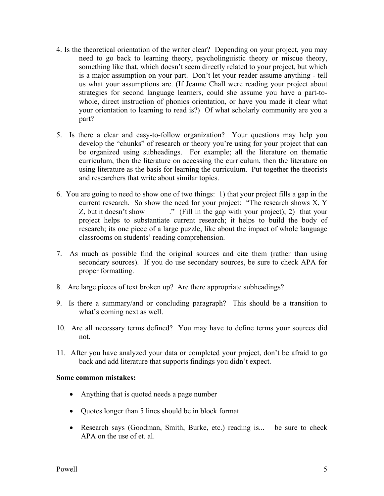- 4. Is the theoretical orientation of the writer clear? Depending on your project, you may need to go back to learning theory, psycholinguistic theory or miscue theory, something like that, which doesn't seem directly related to your project, but which is a major assumption on your part. Don't let your reader assume anything - tell us what your assumptions are. (If Jeanne Chall were reading your project about strategies for second language learners, could she assume you have a part-towhole, direct instruction of phonics orientation, or have you made it clear what your orientation to learning to read is?) Of what scholarly community are you a part?
- 5. Is there a clear and easy-to-follow organization? Your questions may help you develop the "chunks" of research or theory you're using for your project that can be organized using subheadings. For example; all the literature on thematic curriculum, then the literature on accessing the curriculum, then the literature on using literature as the basis for learning the curriculum. Put together the theorists and researchers that write about similar topics.
- 6. You are going to need to show one of two things: 1) that your project fills a gap in the current research. So show the need for your project: "The research shows X, Y Z, but it doesn't show  $\qquad$  " (Fill in the gap with your project); 2) that your project helps to substantiate current research; it helps to build the body of research; its one piece of a large puzzle, like about the impact of whole language classrooms on students' reading comprehension.
- 7. As much as possible find the original sources and cite them (rather than using secondary sources). If you do use secondary sources, be sure to check APA for proper formatting.
- 8. Are large pieces of text broken up? Are there appropriate subheadings?
- 9. Is there a summary/and or concluding paragraph? This should be a transition to what's coming next as well.
- 10. Are all necessary terms defined? You may have to define terms your sources did not.
- 11. After you have analyzed your data or completed your project, don't be afraid to go back and add literature that supports findings you didn't expect.

## **Some common mistakes:**

- Anything that is quoted needs a page number
- Quotes longer than 5 lines should be in block format
- Research says (Goodman, Smith, Burke, etc.) reading is... be sure to check APA on the use of et. al.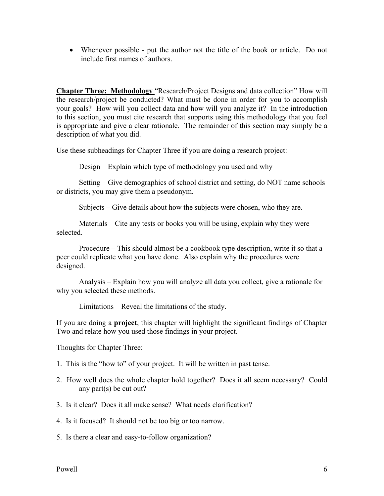• Whenever possible - put the author not the title of the book or article. Do not include first names of authors.

**Chapter Three: Methodology** "Research/Project Designs and data collection" How will the research/project be conducted? What must be done in order for you to accomplish your goals? How will you collect data and how will you analyze it? In the introduction to this section, you must cite research that supports using this methodology that you feel is appropriate and give a clear rationale. The remainder of this section may simply be a description of what you did.

Use these subheadings for Chapter Three if you are doing a research project:

Design – Explain which type of methodology you used and why

 Setting – Give demographics of school district and setting, do NOT name schools or districts, you may give them a pseudonym.

Subjects – Give details about how the subjects were chosen, who they are.

 Materials – Cite any tests or books you will be using, explain why they were selected.

 Procedure – This should almost be a cookbook type description, write it so that a peer could replicate what you have done. Also explain why the procedures were designed.

 Analysis – Explain how you will analyze all data you collect, give a rationale for why you selected these methods.

Limitations – Reveal the limitations of the study.

If you are doing a **project**, this chapter will highlight the significant findings of Chapter Two and relate how you used those findings in your project.

Thoughts for Chapter Three:

- 1. This is the "how to" of your project. It will be written in past tense.
- 2. How well does the whole chapter hold together? Does it all seem necessary? Could any part(s) be cut out?
- 3. Is it clear? Does it all make sense? What needs clarification?

4. Is it focused? It should not be too big or too narrow.

5. Is there a clear and easy-to-follow organization?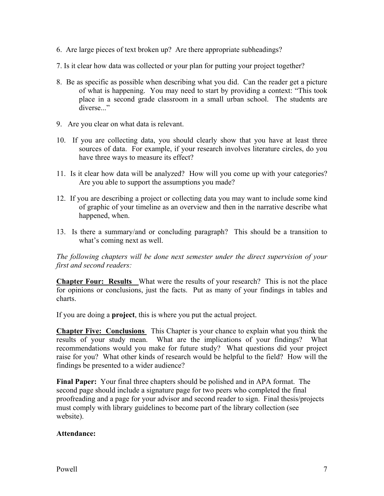- 6. Are large pieces of text broken up? Are there appropriate subheadings?
- 7. Is it clear how data was collected or your plan for putting your project together?
- 8. Be as specific as possible when describing what you did. Can the reader get a picture of what is happening. You may need to start by providing a context: "This took place in a second grade classroom in a small urban school. The students are diverse..."
- 9. Are you clear on what data is relevant.
- 10. If you are collecting data, you should clearly show that you have at least three sources of data. For example, if your research involves literature circles, do you have three ways to measure its effect?
- 11. Is it clear how data will be analyzed? How will you come up with your categories? Are you able to support the assumptions you made?
- 12. If you are describing a project or collecting data you may want to include some kind of graphic of your timeline as an overview and then in the narrative describe what happened, when.
- 13. Is there a summary/and or concluding paragraph? This should be a transition to what's coming next as well.

*The following chapters will be done next semester under the direct supervision of your first and second readers:* 

**Chapter Four: Results** What were the results of your research? This is not the place for opinions or conclusions, just the facts. Put as many of your findings in tables and charts.

If you are doing a **project**, this is where you put the actual project.

**Chapter Five: Conclusions** This Chapter is your chance to explain what you think the results of your study mean. What are the implications of your findings? What recommendations would you make for future study? What questions did your project raise for you? What other kinds of research would be helpful to the field? How will the findings be presented to a wider audience?

**Final Paper:** Your final three chapters should be polished and in APA format. The second page should include a signature page for two peers who completed the final proofreading and a page for your advisor and second reader to sign. Final thesis/projects must comply with library guidelines to become part of the library collection (see website).

## **Attendance:**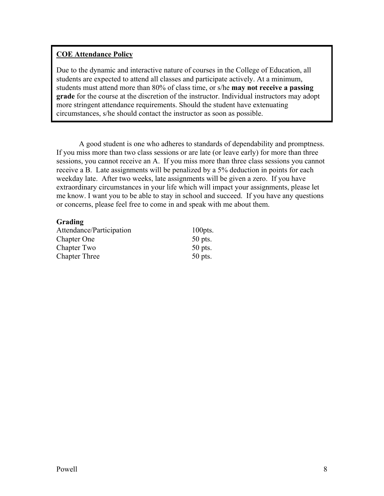# **COE Attendance Policy**

Due to the dynamic and interactive nature of courses in the College of Education, all students are expected to attend all classes and participate actively. At a minimum, students must attend more than 80% of class time, or s/he **may not receive a passing grade** for the course at the discretion of the instructor. Individual instructors may adopt more stringent attendance requirements. Should the student have extenuating circumstances, s/he should contact the instructor as soon as possible.

 A good student is one who adheres to standards of dependability and promptness. If you miss more than two class sessions or are late (or leave early) for more than three sessions, you cannot receive an A. If you miss more than three class sessions you cannot receive a B. Late assignments will be penalized by a 5% deduction in points for each weekday late. After two weeks, late assignments will be given a zero. If you have extraordinary circumstances in your life which will impact your assignments, please let me know. I want you to be able to stay in school and succeed. If you have any questions or concerns, please feel free to come in and speak with me about them.

## **Grading**

Attendance/Participation 100pts. Chapter One 50 pts. Chapter Two 50 pts. Chapter Three 50 pts.

| $\Omega$ |
|----------|
|          |